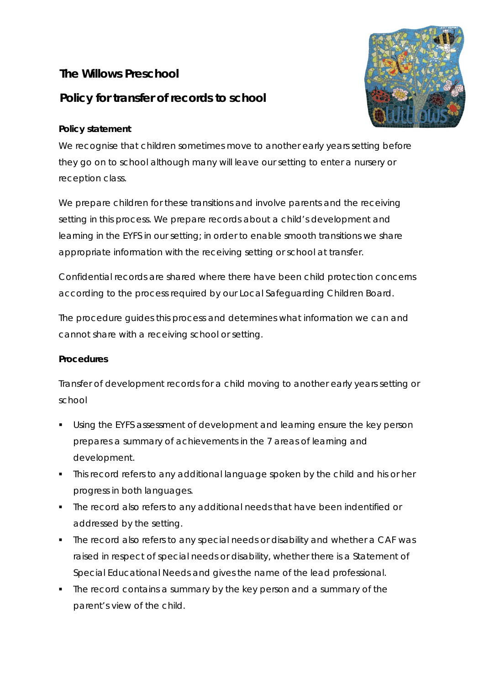# **The Willows Preschool**

# **Policy for transfer of records to school**

## **Policy statement**

We recognise that children sometimes move to another early years setting before they go on to school although many will leave our setting to enter a nursery or reception class.

We prepare children for these transitions and involve parents and the receiving setting in this process. We prepare records about a child's development and learning in the EYFS in our setting; in order to enable smooth transitions we share appropriate information with the receiving setting or school at transfer.

Confidential records are shared where there have been child protection concerns according to the process required by our Local Safeguarding Children Board.

The procedure guides this process and determines what information we can and cannot share with a receiving school or setting.

### **Procedures**

Transfer of development records for a child moving to another early years setting or school

- Using the EYFS assessment of development and learning ensure the key person prepares a summary of achievements in the 7 areas of learning and development.
- This record refers to any additional language spoken by the child and his or her progress in both languages.
- **The record also refers to any additional needs that have been indentified or** addressed by the setting.
- The record also refers to any special needs or disability and whether a CAF was raised in respect of special needs or disability, whether there is a Statement of Special Educational Needs and gives the name of the lead professional.
- The record contains a summary by the key person and a summary of the parent's view of the child.